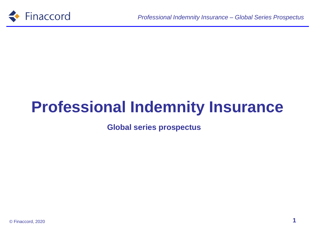

# **Professional Indemnity Insurance**

**Global series prospectus**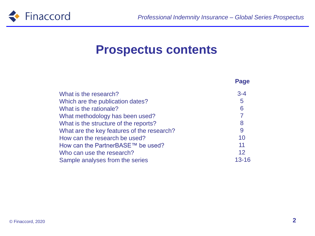

#### **Prospectus contents**

|                                            | Page           |
|--------------------------------------------|----------------|
| What is the research?                      | $3 - 4$        |
| Which are the publication dates?           | 5              |
| What is the rationale?                     | 6              |
| What methodology has been used?            | $\overline{7}$ |
| What is the structure of the reports?      | 8              |
| What are the key features of the research? | 9              |
| How can the research be used?              | 10             |
| How can the PartnerBASE™ be used?          | 11             |
| Who can use the research?                  | 12             |
| Sample analyses from the series            | 13-16          |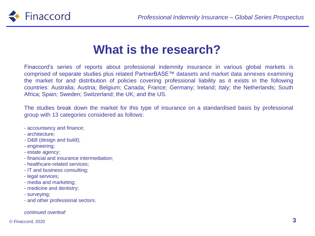

#### **What is the research?**

Finaccord's series of reports about professional indemnity insurance in various global markets is comprised of separate studies plus related PartnerBASE™ datasets and market data annexes examining the market for and distribution of policies covering professional liability as it exists in the following countries: Australia; Austria; Belgium; Canada; France; Germany; Ireland; Italy; the Netherlands; South Africa; Spain; Sweden; Switzerland; the UK; and the US.

The studies break down the market for this type of insurance on a standardised basis by professional group with 13 categories considered as follows:

- accountancy and finance;
- architecture;
- D&B (design and build);
- engineering;
- estate agency;
- financial and insurance intermediation;
- healthcare-related services;
- IT and business consulting;
- legal services;
- media and marketing;
- medicine and dentistry;
- surveying;
- and other professional sectors.

#### *continued overleaf*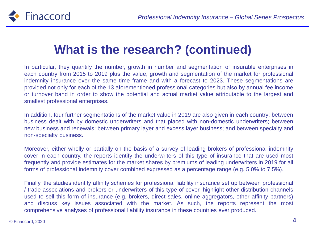

## **What is the research? (continued)**

In particular, they quantify the number, growth in number and segmentation of insurable enterprises in each country from 2015 to 2019 plus the value, growth and segmentation of the market for professional indemnity insurance over the same time frame and with a forecast to 2023. These segmentations are provided not only for each of the 13 aforementioned professional categories but also by annual fee income or turnover band in order to show the potential and actual market value attributable to the largest and smallest professional enterprises.

In addition, four further segmentations of the market value in 2019 are also given in each country: between business dealt with by domestic underwriters and that placed with non-domestic underwriters; between new business and renewals; between primary layer and excess layer business; and between specialty and non-specialty business.

Moreover, either wholly or partially on the basis of a survey of leading brokers of professional indemnity cover in each country, the reports identify the underwriters of this type of insurance that are used most frequently and provide estimates for the market shares by premiums of leading underwriters in 2019 for all forms of professional indemnity cover combined expressed as a percentage range (e.g. 5.0% to 7.5%).

Finally, the studies identify affinity schemes for professional liability insurance set up between professional / trade associations and brokers or underwriters of this type of cover, highlight other distribution channels used to sell this form of insurance (e.g. brokers, direct sales, online aggregators, other affinity partners) and discuss key issues associated with the market. As such, the reports represent the most comprehensive analyses of professional liability insurance in these countries ever produced.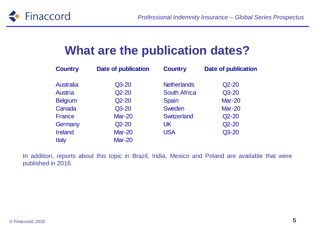

#### **What are the publication dates?**

| <b>Country</b>   | <b>Date of publication</b> | <b>Country</b>      | <b>Date of publication</b> |
|------------------|----------------------------|---------------------|----------------------------|
| <b>Australia</b> | $Q3-20$                    | <b>Netherlands</b>  | $Q2 - 20$                  |
| Austria          | $Q2 - 20$                  | <b>South Africa</b> | $Q3 - 20$                  |
| <b>Belgium</b>   | $Q2-20$                    | <b>Spain</b>        | <b>Mar-20</b>              |
| Canada           | $Q3-20$                    | <b>Sweden</b>       | <b>Mar-20</b>              |
| <b>France</b>    | <b>Mar-20</b>              | <b>Switzerland</b>  | $Q2 - 20$                  |
| Germany          | $Q2 - 20$                  | UK                  | $Q2 - 20$                  |
| <b>Ireland</b>   | <b>Mar-20</b>              | <b>USA</b>          | $Q3 - 20$                  |
| <b>Italy</b>     | <b>Mar-20</b>              |                     |                            |

In addition, reports about this topic in Brazil, India, Mexico and Poland are available that were published in 2016.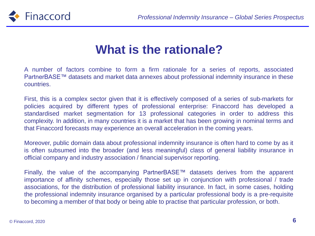

### **What is the rationale?**

A number of factors combine to form a firm rationale for a series of reports, associated PartnerBASE™ datasets and market data annexes about professional indemnity insurance in these countries.

First, this is a complex sector given that it is effectively composed of a series of sub-markets for policies acquired by different types of professional enterprise: Finaccord has developed a standardised market segmentation for 13 professional categories in order to address this complexity. In addition, in many countries it is a market that has been growing in nominal terms and that Finaccord forecasts may experience an overall acceleration in the coming years.

Moreover, public domain data about professional indemnity insurance is often hard to come by as it is often subsumed into the broader (and less meaningful) class of general liability insurance in official company and industry association / financial supervisor reporting.

Finally, the value of the accompanying PartnerBASE™ datasets derives from the apparent importance of affinity schemes, especially those set up in conjunction with professional / trade associations, for the distribution of professional liability insurance. In fact, in some cases, holding the professional indemnity insurance organised by a particular professional body is a pre-requisite to becoming a member of that body or being able to practise that particular profession, or both.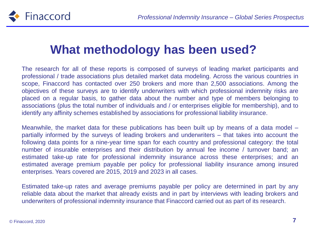

### **What methodology has been used?**

The research for all of these reports is composed of surveys of leading market participants and professional / trade associations plus detailed market data modeling. Across the various countries in scope, Finaccord has contacted over 250 brokers and more than 2,500 associations. Among the objectives of these surveys are to identify underwriters with which professional indemnity risks are placed on a regular basis, to gather data about the number and type of members belonging to associations (plus the total number of individuals and / or enterprises eligible for membership), and to identify any affinity schemes established by associations for professional liability insurance.

Meanwhile, the market data for these publications has been built up by means of a data model – partially informed by the surveys of leading brokers and underwriters – that takes into account the following data points for a nine-year time span for each country and professional category: the total number of insurable enterprises and their distribution by annual fee income / turnover band; an estimated take-up rate for professional indemnity insurance across these enterprises; and an estimated average premium payable per policy for professional liability insurance among insured enterprises. Years covered are 2015, 2019 and 2023 in all cases.

Estimated take-up rates and average premiums payable per policy are determined in part by any reliable data about the market that already exists and in part by interviews with leading brokers and underwriters of professional indemnity insurance that Finaccord carried out as part of its research.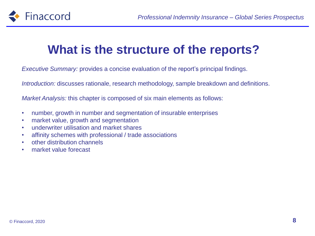

### **What is the structure of the reports?**

*Executive Summary:* provides a concise evaluation of the report's principal findings.

*Introduction:* discusses rationale, research methodology, sample breakdown and definitions.

*Market Analysis:* this chapter is composed of six main elements as follows:

- number, growth in number and segmentation of insurable enterprises
- market value, growth and segmentation
- underwriter utilisation and market shares
- affinity schemes with professional / trade associations
- other distribution channels
- market value forecast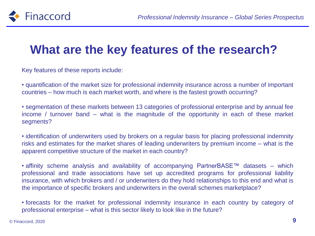

## **What are the key features of the research?**

Key features of these reports include:

• quantification of the market size for professional indemnity insurance across a number of important countries – how much is each market worth, and where is the fastest growth occurring?

• segmentation of these markets between 13 categories of professional enterprise and by annual fee income / turnover band – what is the magnitude of the opportunity in each of these market segments?

• identification of underwriters used by brokers on a regular basis for placing professional indemnity risks and estimates for the market shares of leading underwriters by premium income – what is the apparent competitive structure of the market in each country?

• affinity scheme analysis and availability of accompanying PartnerBASE™ datasets – which professional and trade associations have set up accredited programs for professional liability insurance, with which brokers and / or underwriters do they hold relationships to this end and what is the importance of specific brokers and underwriters in the overall schemes marketplace?

• forecasts for the market for professional indemnity insurance in each country by category of professional enterprise – what is this sector likely to look like in the future?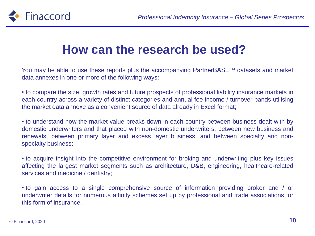

#### **How can the research be used?**

You may be able to use these reports plus the accompanying PartnerBASE™ datasets and market data annexes in one or more of the following ways:

• to compare the size, growth rates and future prospects of professional liability insurance markets in each country across a variety of distinct categories and annual fee income / turnover bands utilising the market data annexe as a convenient source of data already in Excel format;

• to understand how the market value breaks down in each country between business dealt with by domestic underwriters and that placed with non-domestic underwriters, between new business and renewals, between primary layer and excess layer business, and between specialty and nonspecialty business;

• to acquire insight into the competitive environment for broking and underwriting plus key issues affecting the largest market segments such as architecture, D&B, engineering, healthcare-related services and medicine / dentistry;

• to gain access to a single comprehensive source of information providing broker and / or underwriter details for numerous affinity schemes set up by professional and trade associations for this form of insurance.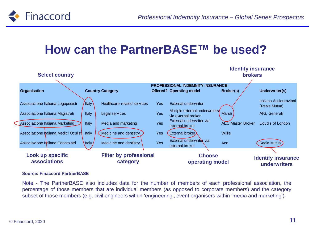

### **How can the PartnerBASE™ be used?**



#### **Source: Finaccord PartnerBASE**

Note - The PartnerBASE also includes data for the number of members of each professional association, the percentage of those members that are individual members (as opposed to corporate members) and the category subset of those members (e.g. civil engineers within 'engineering', event organisers within 'media and marketing').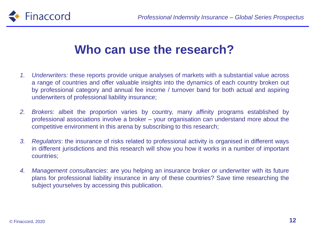



#### **Who can use the research?**

- *1. Underwriters:* these reports provide unique analyses of markets with a substantial value across a range of countries and offer valuable insights into the dynamics of each country broken out by professional category and annual fee income / turnover band for both actual and aspiring underwriters of professional liability insurance;
- *2. Brokers*: albeit the proportion varies by country, many affinity programs established by professional associations involve a broker – your organisation can understand more about the competitive environment in this arena by subscribing to this research;
- *3. Regulators*: the insurance of risks related to professional activity is organised in different ways in different jurisdictions and this research will show you how it works in a number of important countries;
- *4. Management consultancies*: are you helping an insurance broker or underwriter with its future plans for professional liability insurance in any of these countries? Save time researching the subject yourselves by accessing this publication.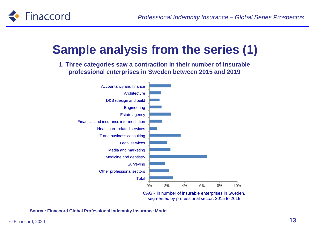

# **Sample analysis from the series (1)**

**1. Three categories saw a contraction in their number of insurable professional enterprises in Sweden between 2015 and 2019**



segmented by professional sector, 2015 to 2019

**Source: Finaccord Global Professional Indemnity Insurance Model**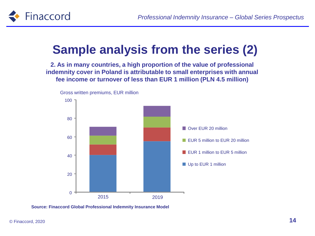

# **Sample analysis from the series (2)**

**2. As in many countries, a high proportion of the value of professional indemnity cover in Poland is attributable to small enterprises with annual fee income or turnover of less than EUR 1 million (PLN 4.5 million)**



**Source: Finaccord Global Professional Indemnity Insurance Model**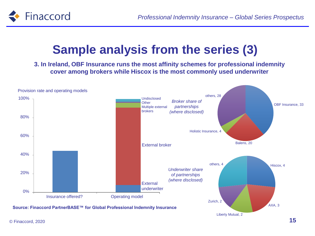

# **Sample analysis from the series (3)**

**3. In Ireland, OBF Insurance runs the most affinity schemes for professional indemnity cover among brokers while Hiscox is the most commonly used underwriter**